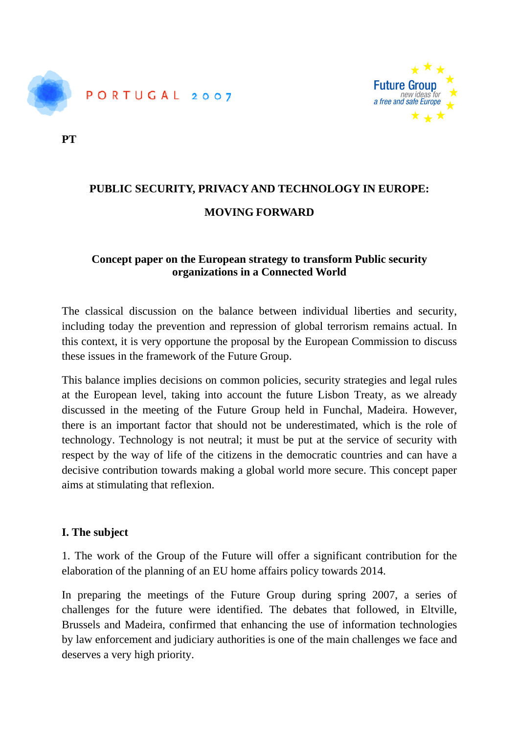



**PT** 

# **PUBLIC SECURITY, PRIVACY AND TECHNOLOGY IN EUROPE: MOVING FORWARD**

# **Concept paper on the European strategy to transform Public security organizations in a Connected World**

The classical discussion on the balance between individual liberties and security, including today the prevention and repression of global terrorism remains actual. In this context, it is very opportune the proposal by the European Commission to discuss these issues in the framework of the Future Group.

This balance implies decisions on common policies, security strategies and legal rules at the European level, taking into account the future Lisbon Treaty, as we already discussed in the meeting of the Future Group held in Funchal, Madeira. However, there is an important factor that should not be underestimated, which is the role of technology. Technology is not neutral; it must be put at the service of security with respect by the way of life of the citizens in the democratic countries and can have a decisive contribution towards making a global world more secure. This concept paper aims at stimulating that reflexion.

## **I. The subject**

1. The work of the Group of the Future will offer a significant contribution for the elaboration of the planning of an EU home affairs policy towards 2014.

In preparing the meetings of the Future Group during spring 2007, a series of challenges for the future were identified. The debates that followed, in Eltville, Brussels and Madeira, confirmed that enhancing the use of information technologies by law enforcement and judiciary authorities is one of the main challenges we face and deserves a very high priority.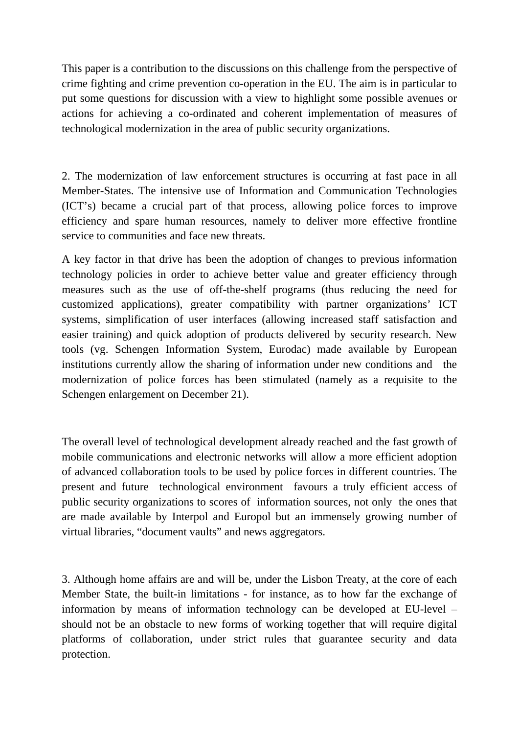This paper is a contribution to the discussions on this challenge from the perspective of crime fighting and crime prevention co-operation in the EU. The aim is in particular to put some questions for discussion with a view to highlight some possible avenues or actions for achieving a co-ordinated and coherent implementation of measures of technological modernization in the area of public security organizations.

2. The modernization of law enforcement structures is occurring at fast pace in all Member-States. The intensive use of Information and Communication Technologies (ICT's) became a crucial part of that process, allowing police forces to improve efficiency and spare human resources, namely to deliver more effective frontline service to communities and face new threats.

A key factor in that drive has been the adoption of changes to previous information technology policies in order to achieve better value and greater efficiency through measures such as the use of off-the-shelf programs (thus reducing the need for customized applications), greater compatibility with partner organizations' ICT systems, simplification of user interfaces (allowing increased staff satisfaction and easier training) and quick adoption of products delivered by security research. New tools (vg. Schengen Information System, Eurodac) made available by European institutions currently allow the sharing of information under new conditions and the modernization of police forces has been stimulated (namely as a requisite to the Schengen enlargement on December 21).

The overall level of technological development already reached and the fast growth of mobile communications and electronic networks will allow a more efficient adoption of advanced collaboration tools to be used by police forces in different countries. The present and future technological environment favours a truly efficient access of public security organizations to scores of information sources, not only the ones that are made available by Interpol and Europol but an immensely growing number of virtual libraries, "document vaults" and news aggregators.

3. Although home affairs are and will be, under the Lisbon Treaty, at the core of each Member State, the built-in limitations - for instance, as to how far the exchange of information by means of information technology can be developed at EU-level – should not be an obstacle to new forms of working together that will require digital platforms of collaboration, under strict rules that guarantee security and data protection.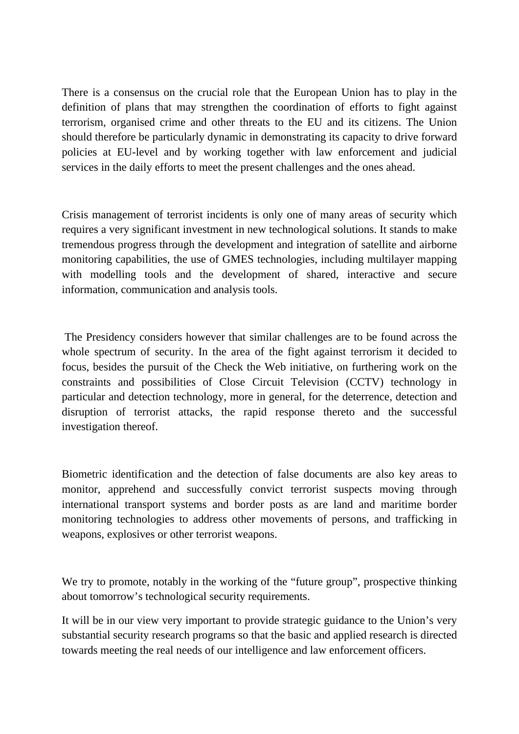There is a consensus on the crucial role that the European Union has to play in the definition of plans that may strengthen the coordination of efforts to fight against terrorism, organised crime and other threats to the EU and its citizens. The Union should therefore be particularly dynamic in demonstrating its capacity to drive forward policies at EU-level and by working together with law enforcement and judicial services in the daily efforts to meet the present challenges and the ones ahead.

Crisis management of terrorist incidents is only one of many areas of security which requires a very significant investment in new technological solutions. It stands to make tremendous progress through the development and integration of satellite and airborne monitoring capabilities, the use of GMES technologies, including multilayer mapping with modelling tools and the development of shared, interactive and secure information, communication and analysis tools.

 The Presidency considers however that similar challenges are to be found across the whole spectrum of security. In the area of the fight against terrorism it decided to focus, besides the pursuit of the Check the Web initiative, on furthering work on the constraints and possibilities of Close Circuit Television (CCTV) technology in particular and detection technology, more in general, for the deterrence, detection and disruption of terrorist attacks, the rapid response thereto and the successful investigation thereof.

Biometric identification and the detection of false documents are also key areas to monitor, apprehend and successfully convict terrorist suspects moving through international transport systems and border posts as are land and maritime border monitoring technologies to address other movements of persons, and trafficking in weapons, explosives or other terrorist weapons.

We try to promote, notably in the working of the "future group", prospective thinking about tomorrow's technological security requirements.

It will be in our view very important to provide strategic guidance to the Union's very substantial security research programs so that the basic and applied research is directed towards meeting the real needs of our intelligence and law enforcement officers.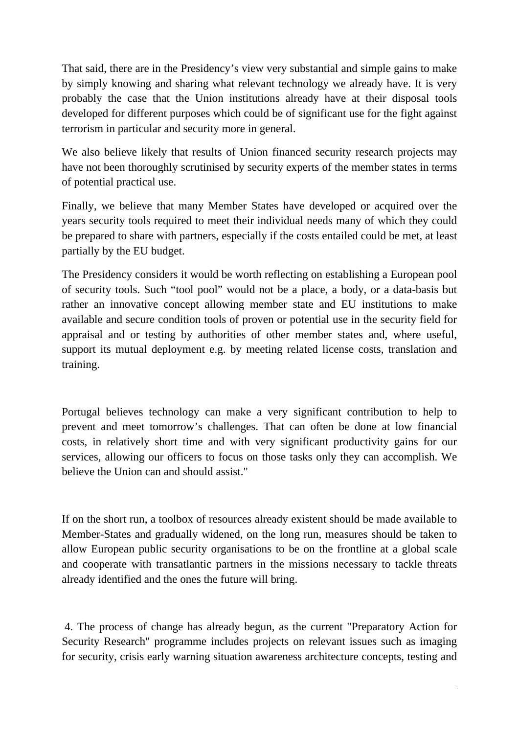That said, there are in the Presidency's view very substantial and simple gains to make by simply knowing and sharing what relevant technology we already have. It is very probably the case that the Union institutions already have at their disposal tools developed for different purposes which could be of significant use for the fight against terrorism in particular and security more in general.

We also believe likely that results of Union financed security research projects may have not been thoroughly scrutinised by security experts of the member states in terms of potential practical use.

Finally, we believe that many Member States have developed or acquired over the years security tools required to meet their individual needs many of which they could be prepared to share with partners, especially if the costs entailed could be met, at least partially by the EU budget.

The Presidency considers it would be worth reflecting on establishing a European pool of security tools. Such "tool pool" would not be a place, a body, or a data-basis but rather an innovative concept allowing member state and EU institutions to make available and secure condition tools of proven or potential use in the security field for appraisal and or testing by authorities of other member states and, where useful, support its mutual deployment e.g. by meeting related license costs, translation and training.

Portugal believes technology can make a very significant contribution to help to prevent and meet tomorrow's challenges. That can often be done at low financial costs, in relatively short time and with very significant productivity gains for our services, allowing our officers to focus on those tasks only they can accomplish. We believe the Union can and should assist."

If on the short run, a toolbox of resources already existent should be made available to Member-States and gradually widened, on the long run, measures should be taken to allow European public security organisations to be on the frontline at a global scale and cooperate with transatlantic partners in the missions necessary to tackle threats already identified and the ones the future will bring.

 4. The process of change has already begun, as the current "Preparatory Action for Security Research" programme includes projects on relevant issues such as imaging for security, crisis early warning situation awareness architecture concepts, testing and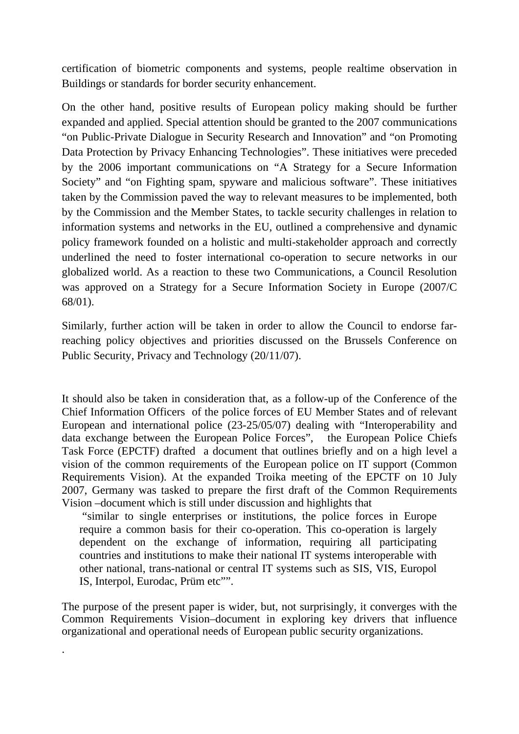certification of biometric components and systems, people realtime observation in Buildings or standards for border security enhancement.

On the other hand, positive results of European policy making should be further expanded and applied. Special attention should be granted to the 2007 communications "on Public-Private Dialogue in Security Research and Innovation" and "on Promoting Data Protection by Privacy Enhancing Technologies". These initiatives were preceded by the 2006 important communications on "A Strategy for a Secure Information Society" and "on Fighting spam, spyware and malicious software". These initiatives taken by the Commission paved the way to relevant measures to be implemented, both by the Commission and the Member States, to tackle security challenges in relation to information systems and networks in the EU, outlined a comprehensive and dynamic policy framework founded on a holistic and multi-stakeholder approach and correctly underlined the need to foster international co-operation to secure networks in our globalized world. As a reaction to these two Communications, a Council Resolution was approved on a Strategy for a Secure Information Society in Europe (2007/C 68/01).

Similarly, further action will be taken in order to allow the Council to endorse farreaching policy objectives and priorities discussed on the Brussels Conference on Public Security, Privacy and Technology (20/11/07).

It should also be taken in consideration that, as a follow-up of the Conference of the Chief Information Officers of the police forces of EU Member States and of relevant European and international police (23-25/05/07) dealing with "Interoperability and data exchange between the European Police Forces", the European Police Chiefs Task Force (EPCTF) drafted a document that outlines briefly and on a high level a vision of the common requirements of the European police on IT support (Common Requirements Vision). At the expanded Troika meeting of the EPCTF on 10 July 2007, Germany was tasked to prepare the first draft of the Common Requirements Vision –document which is still under discussion and highlights that

 "similar to single enterprises or institutions, the police forces in Europe require a common basis for their co-operation. This co-operation is largely dependent on the exchange of information, requiring all participating countries and institutions to make their national IT systems interoperable with other national, trans-national or central IT systems such as SIS, VIS, Europol IS, Interpol, Eurodac, Prüm etc"".

The purpose of the present paper is wider, but, not surprisingly, it converges with the Common Requirements Vision–document in exploring key drivers that influence organizational and operational needs of European public security organizations.

.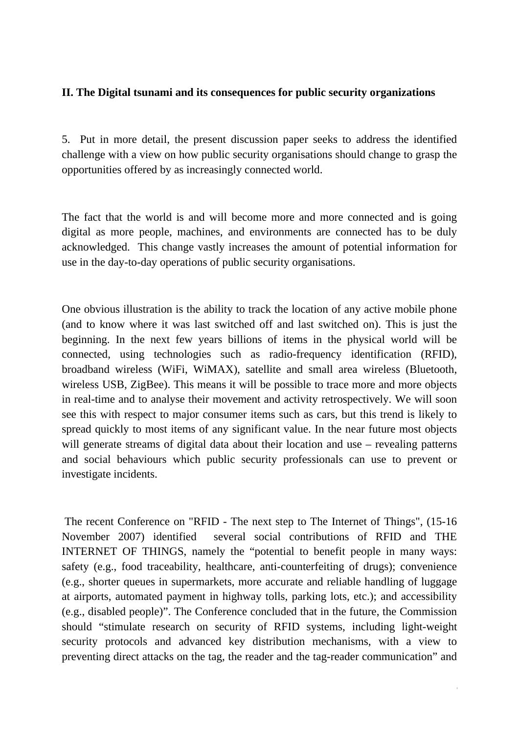#### **II. The Digital tsunami and its consequences for public security organizations**

5. Put in more detail, the present discussion paper seeks to address the identified challenge with a view on how public security organisations should change to grasp the opportunities offered by as increasingly connected world.

The fact that the world is and will become more and more connected and is going digital as more people, machines, and environments are connected has to be duly acknowledged. This change vastly increases the amount of potential information for use in the day-to-day operations of public security organisations.

One obvious illustration is the ability to track the location of any active mobile phone (and to know where it was last switched off and last switched on). This is just the beginning. In the next few years billions of items in the physical world will be connected, using technologies such as radio-frequency identification (RFID), broadband wireless (WiFi, WiMAX), satellite and small area wireless (Bluetooth, wireless USB, ZigBee). This means it will be possible to trace more and more objects in real-time and to analyse their movement and activity retrospectively. We will soon see this with respect to major consumer items such as cars, but this trend is likely to spread quickly to most items of any significant value. In the near future most objects will generate streams of digital data about their location and use – revealing patterns and social behaviours which public security professionals can use to prevent or investigate incidents.

 The recent Conference on "RFID - The next step to The Internet of Things", (15-16 November 2007) identified several social contributions of RFID and THE INTERNET OF THINGS, namely the "potential to benefit people in many ways: safety (e.g., food traceability, healthcare, anti-counterfeiting of drugs); convenience (e.g., shorter queues in supermarkets, more accurate and reliable handling of luggage at airports, automated payment in highway tolls, parking lots, etc.); and accessibility (e.g., disabled people)". The Conference concluded that in the future, the Commission should "stimulate research on security of RFID systems, including light-weight security protocols and advanced key distribution mechanisms, with a view to preventing direct attacks on the tag, the reader and the tag-reader communication" and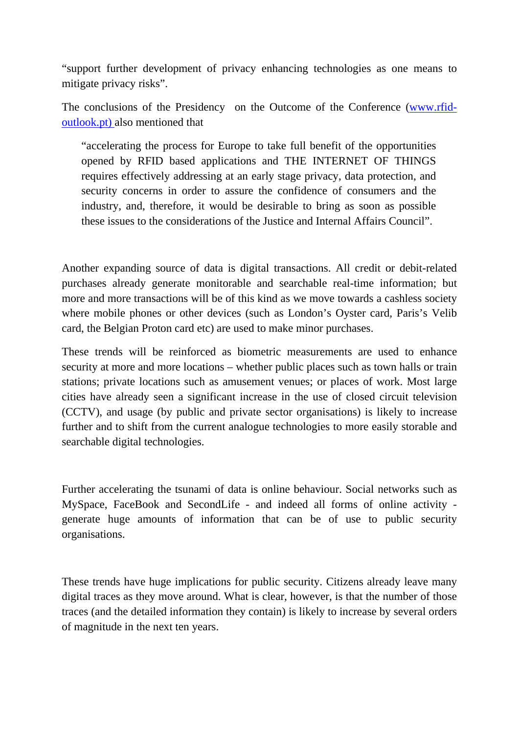"support further development of privacy enhancing technologies as one means to mitigate privacy risks".

The conclusions of the Presidency on the Outcome of the Conference ([www.rfid](http://www.rfid-outlook.pt/)[outlook.pt\) a](http://www.rfid-outlook.pt/)lso mentioned that

"accelerating the process for Europe to take full benefit of the opportunities opened by RFID based applications and THE INTERNET OF THINGS requires effectively addressing at an early stage privacy, data protection, and security concerns in order to assure the confidence of consumers and the industry, and, therefore, it would be desirable to bring as soon as possible these issues to the considerations of the Justice and Internal Affairs Council".

Another expanding source of data is digital transactions. All credit or debit-related purchases already generate monitorable and searchable real-time information; but more and more transactions will be of this kind as we move towards a cashless society where mobile phones or other devices (such as London's Oyster card, Paris's Velib card, the Belgian Proton card etc) are used to make minor purchases.

These trends will be reinforced as biometric measurements are used to enhance security at more and more locations – whether public places such as town halls or train stations; private locations such as amusement venues; or places of work. Most large cities have already seen a significant increase in the use of closed circuit television (CCTV), and usage (by public and private sector organisations) is likely to increase further and to shift from the current analogue technologies to more easily storable and searchable digital technologies.

Further accelerating the tsunami of data is online behaviour. Social networks such as MySpace, FaceBook and SecondLife - and indeed all forms of online activity generate huge amounts of information that can be of use to public security organisations.

These trends have huge implications for public security. Citizens already leave many digital traces as they move around. What is clear, however, is that the number of those traces (and the detailed information they contain) is likely to increase by several orders of magnitude in the next ten years.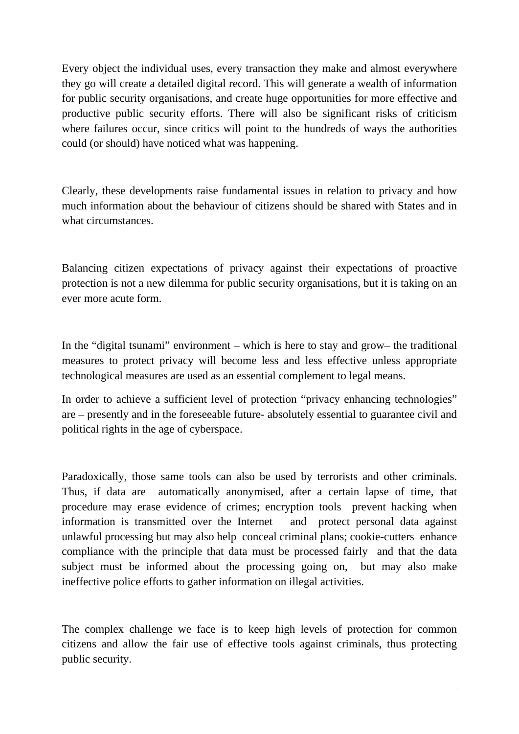Every object the individual uses, every transaction they make and almost everywhere they go will create a detailed digital record. This will generate a wealth of information for public security organisations, and create huge opportunities for more effective and productive public security efforts. There will also be significant risks of criticism where failures occur, since critics will point to the hundreds of ways the authorities could (or should) have noticed what was happening.

Clearly, these developments raise fundamental issues in relation to privacy and how much information about the behaviour of citizens should be shared with States and in what circumstances.

Balancing citizen expectations of privacy against their expectations of proactive protection is not a new dilemma for public security organisations, but it is taking on an ever more acute form.

In the "digital tsunami" environment – which is here to stay and grow– the traditional measures to protect privacy will become less and less effective unless appropriate technological measures are used as an essential complement to legal means.

In order to achieve a sufficient level of protection "privacy enhancing technologies" are – presently and in the foreseeable future- absolutely essential to guarantee civil and political rights in the age of cyberspace.

Paradoxically, those same tools can also be used by terrorists and other criminals. Thus, if data are automatically anonymised, after a certain lapse of time, that procedure may erase evidence of crimes; encryption tools prevent hacking when information is transmitted over the Internet and protect personal data against unlawful processing but may also help conceal criminal plans; cookie-cutters enhance compliance with the principle that data must be processed fairly and that the data subject must be informed about the processing going on, but may also make ineffective police efforts to gather information on illegal activities.

The complex challenge we face is to keep high levels of protection for common citizens and allow the fair use of effective tools against criminals, thus protecting public security.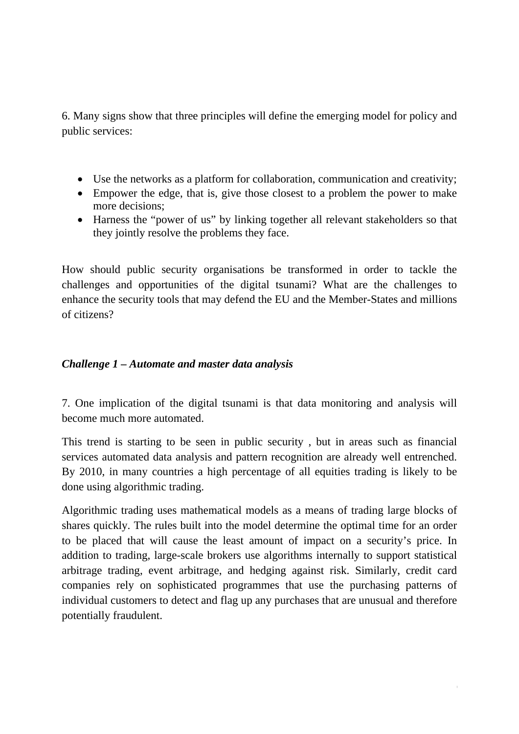6. Many signs show that three principles will define the emerging model for policy and public services:

- Use the networks as a platform for collaboration, communication and creativity;
- Empower the edge, that is, give those closest to a problem the power to make more decisions;
- Harness the "power of us" by linking together all relevant stakeholders so that they jointly resolve the problems they face.

How should public security organisations be transformed in order to tackle the challenges and opportunities of the digital tsunami? What are the challenges to enhance the security tools that may defend the EU and the Member-States and millions of citizens?

# *Challenge 1 – Automate and master data analysis*

7. One implication of the digital tsunami is that data monitoring and analysis will become much more automated.

This trend is starting to be seen in public security , but in areas such as financial services automated data analysis and pattern recognition are already well entrenched. By 2010, in many countries a high percentage of all equities trading is likely to be done using algorithmic trading.

Algorithmic trading uses mathematical models as a means of trading large blocks of shares quickly. The rules built into the model determine the optimal time for an order to be placed that will cause the least amount of impact on a security's price. In addition to trading, large-scale brokers use algorithms internally to support statistical arbitrage trading, event arbitrage, and hedging against risk. Similarly, credit card companies rely on sophisticated programmes that use the purchasing patterns of individual customers to detect and flag up any purchases that are unusual and therefore potentially fraudulent.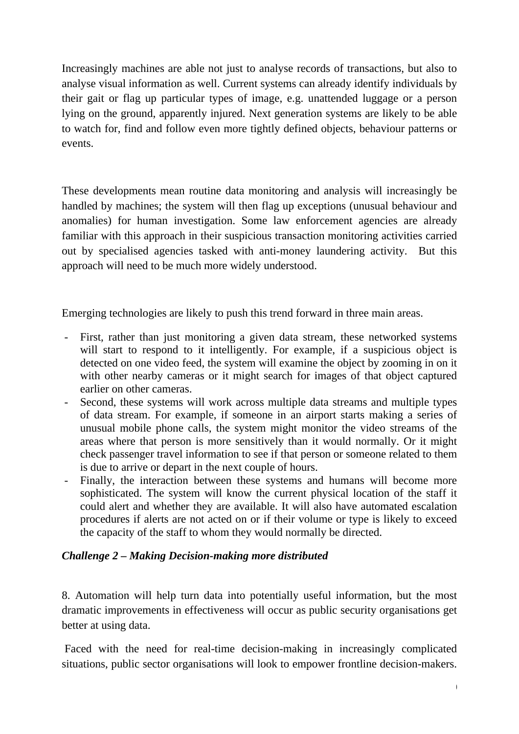Increasingly machines are able not just to analyse records of transactions, but also to analyse visual information as well. Current systems can already identify individuals by their gait or flag up particular types of image, e.g. unattended luggage or a person lying on the ground, apparently injured. Next generation systems are likely to be able to watch for, find and follow even more tightly defined objects, behaviour patterns or events.

These developments mean routine data monitoring and analysis will increasingly be handled by machines; the system will then flag up exceptions (unusual behaviour and anomalies) for human investigation. Some law enforcement agencies are already familiar with this approach in their suspicious transaction monitoring activities carried out by specialised agencies tasked with anti-money laundering activity. But this approach will need to be much more widely understood.

Emerging technologies are likely to push this trend forward in three main areas.

- First, rather than just monitoring a given data stream, these networked systems will start to respond to it intelligently. For example, if a suspicious object is detected on one video feed, the system will examine the object by zooming in on it with other nearby cameras or it might search for images of that object captured earlier on other cameras.
- Second, these systems will work across multiple data streams and multiple types of data stream. For example, if someone in an airport starts making a series of unusual mobile phone calls, the system might monitor the video streams of the areas where that person is more sensitively than it would normally. Or it might check passenger travel information to see if that person or someone related to them is due to arrive or depart in the next couple of hours.
- Finally, the interaction between these systems and humans will become more sophisticated. The system will know the current physical location of the staff it could alert and whether they are available. It will also have automated escalation procedures if alerts are not acted on or if their volume or type is likely to exceed the capacity of the staff to whom they would normally be directed.

## *Challenge 2 – Making Decision-making more distributed*

8. Automation will help turn data into potentially useful information, but the most dramatic improvements in effectiveness will occur as public security organisations get better at using data.

 Faced with the need for real-time decision-making in increasingly complicated situations, public sector organisations will look to empower frontline decision-makers.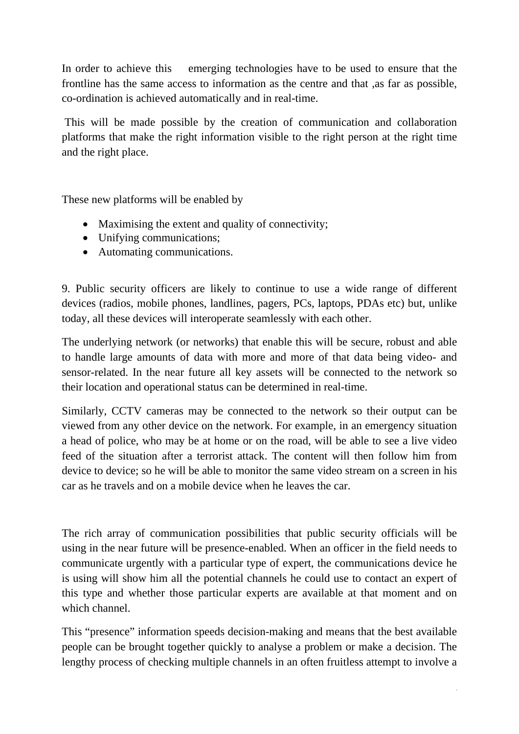In order to achieve this emerging technologies have to be used to ensure that the frontline has the same access to information as the centre and that ,as far as possible, co-ordination is achieved automatically and in real-time.

 This will be made possible by the creation of communication and collaboration platforms that make the right information visible to the right person at the right time and the right place.

These new platforms will be enabled by

- Maximising the extent and quality of connectivity;
- Unifying communications;
- Automating communications.

9. Public security officers are likely to continue to use a wide range of different devices (radios, mobile phones, landlines, pagers, PCs, laptops, PDAs etc) but, unlike today, all these devices will interoperate seamlessly with each other.

The underlying network (or networks) that enable this will be secure, robust and able to handle large amounts of data with more and more of that data being video- and sensor-related. In the near future all key assets will be connected to the network so their location and operational status can be determined in real-time.

Similarly, CCTV cameras may be connected to the network so their output can be viewed from any other device on the network. For example, in an emergency situation a head of police, who may be at home or on the road, will be able to see a live video feed of the situation after a terrorist attack. The content will then follow him from device to device; so he will be able to monitor the same video stream on a screen in his car as he travels and on a mobile device when he leaves the car.

The rich array of communication possibilities that public security officials will be using in the near future will be presence-enabled. When an officer in the field needs to communicate urgently with a particular type of expert, the communications device he is using will show him all the potential channels he could use to contact an expert of this type and whether those particular experts are available at that moment and on which channel.

This "presence" information speeds decision-making and means that the best available people can be brought together quickly to analyse a problem or make a decision. The lengthy process of checking multiple channels in an often fruitless attempt to involve a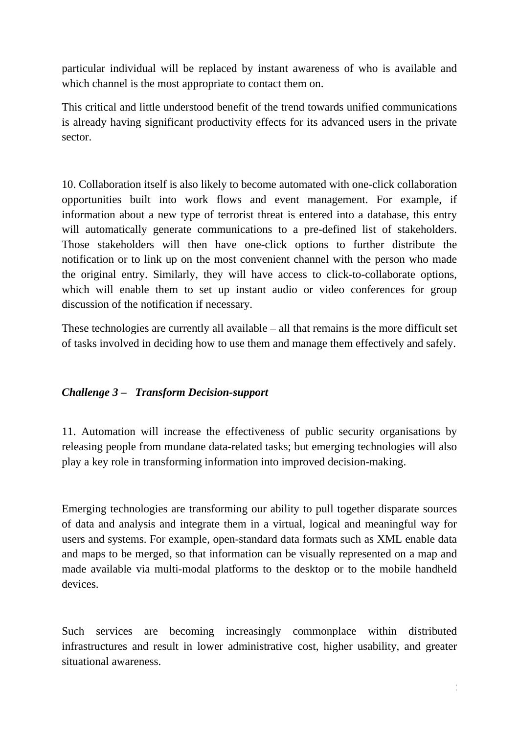particular individual will be replaced by instant awareness of who is available and which channel is the most appropriate to contact them on.

This critical and little understood benefit of the trend towards unified communications is already having significant productivity effects for its advanced users in the private sector.

10. Collaboration itself is also likely to become automated with one-click collaboration opportunities built into work flows and event management. For example, if information about a new type of terrorist threat is entered into a database, this entry will automatically generate communications to a pre-defined list of stakeholders. Those stakeholders will then have one-click options to further distribute the notification or to link up on the most convenient channel with the person who made the original entry. Similarly, they will have access to click-to-collaborate options, which will enable them to set up instant audio or video conferences for group discussion of the notification if necessary.

These technologies are currently all available – all that remains is the more difficult set of tasks involved in deciding how to use them and manage them effectively and safely.

# *Challenge 3 – Transform Decision-support*

11. Automation will increase the effectiveness of public security organisations by releasing people from mundane data-related tasks; but emerging technologies will also play a key role in transforming information into improved decision-making.

Emerging technologies are transforming our ability to pull together disparate sources of data and analysis and integrate them in a virtual, logical and meaningful way for users and systems. For example, open-standard data formats such as XML enable data and maps to be merged, so that information can be visually represented on a map and made available via multi-modal platforms to the desktop or to the mobile handheld devices.

Such services are becoming increasingly commonplace within distributed infrastructures and result in lower administrative cost, higher usability, and greater situational awareness.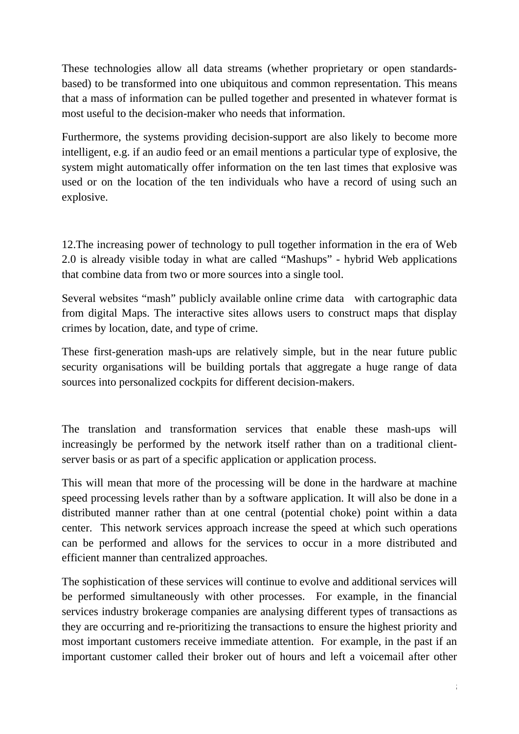These technologies allow all data streams (whether proprietary or open standardsbased) to be transformed into one ubiquitous and common representation. This means that a mass of information can be pulled together and presented in whatever format is most useful to the decision-maker who needs that information.

Furthermore, the systems providing decision-support are also likely to become more intelligent, e.g. if an audio feed or an email mentions a particular type of explosive, the system might automatically offer information on the ten last times that explosive was used or on the location of the ten individuals who have a record of using such an explosive.

12.The increasing power of technology to pull together information in the era of Web 2.0 is already visible today in what are called "Mashups" - hybrid Web applications that combine data from two or more sources into a single tool.

Several websites "mash" publicly available online crime data with cartographic data from digital Maps. The interactive sites allows users to construct maps that display crimes by location, date, and type of crime.

These first-generation mash-ups are relatively simple, but in the near future public security organisations will be building portals that aggregate a huge range of data sources into personalized cockpits for different decision-makers.

The translation and transformation services that enable these mash-ups will increasingly be performed by the network itself rather than on a traditional clientserver basis or as part of a specific application or application process.

This will mean that more of the processing will be done in the hardware at machine speed processing levels rather than by a software application. It will also be done in a distributed manner rather than at one central (potential choke) point within a data center. This network services approach increase the speed at which such operations can be performed and allows for the services to occur in a more distributed and efficient manner than centralized approaches.

The sophistication of these services will continue to evolve and additional services will be performed simultaneously with other processes. For example, in the financial services industry brokerage companies are analysing different types of transactions as they are occurring and re-prioritizing the transactions to ensure the highest priority and most important customers receive immediate attention. For example, in the past if an important customer called their broker out of hours and left a voicemail after other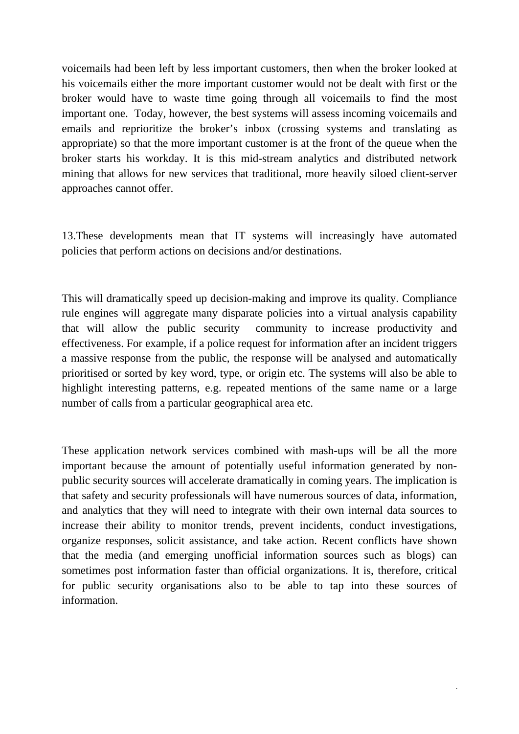voicemails had been left by less important customers, then when the broker looked at his voicemails either the more important customer would not be dealt with first or the broker would have to waste time going through all voicemails to find the most important one. Today, however, the best systems will assess incoming voicemails and emails and reprioritize the broker's inbox (crossing systems and translating as appropriate) so that the more important customer is at the front of the queue when the broker starts his workday. It is this mid-stream analytics and distributed network mining that allows for new services that traditional, more heavily siloed client-server approaches cannot offer.

13.These developments mean that IT systems will increasingly have automated policies that perform actions on decisions and/or destinations.

This will dramatically speed up decision-making and improve its quality. Compliance rule engines will aggregate many disparate policies into a virtual analysis capability that will allow the public security community to increase productivity and effectiveness. For example, if a police request for information after an incident triggers a massive response from the public, the response will be analysed and automatically prioritised or sorted by key word, type, or origin etc. The systems will also be able to highlight interesting patterns, e.g. repeated mentions of the same name or a large number of calls from a particular geographical area etc.

These application network services combined with mash-ups will be all the more important because the amount of potentially useful information generated by nonpublic security sources will accelerate dramatically in coming years. The implication is that safety and security professionals will have numerous sources of data, information, and analytics that they will need to integrate with their own internal data sources to increase their ability to monitor trends, prevent incidents, conduct investigations, organize responses, solicit assistance, and take action. Recent conflicts have shown that the media (and emerging unofficial information sources such as blogs) can sometimes post information faster than official organizations. It is, therefore, critical for public security organisations also to be able to tap into these sources of information.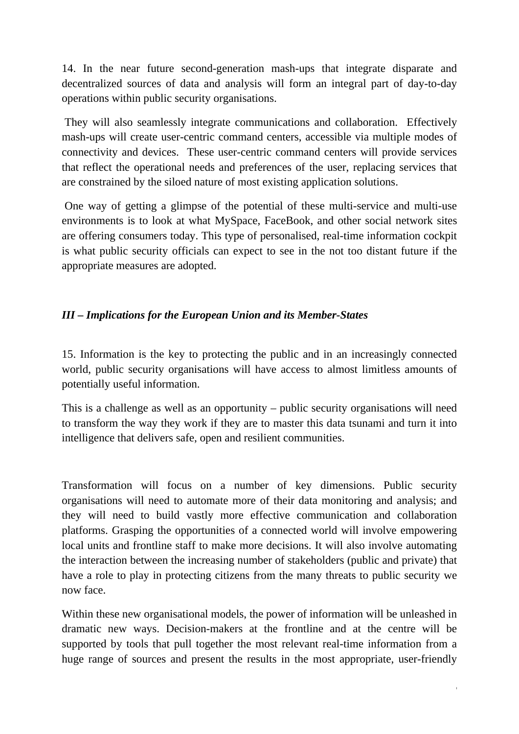14. In the near future second-generation mash-ups that integrate disparate and decentralized sources of data and analysis will form an integral part of day-to-day operations within public security organisations.

 They will also seamlessly integrate communications and collaboration. Effectively mash-ups will create user-centric command centers, accessible via multiple modes of connectivity and devices. These user-centric command centers will provide services that reflect the operational needs and preferences of the user, replacing services that are constrained by the siloed nature of most existing application solutions.

 One way of getting a glimpse of the potential of these multi-service and multi-use environments is to look at what MySpace, FaceBook, and other social network sites are offering consumers today. This type of personalised, real-time information cockpit is what public security officials can expect to see in the not too distant future if the appropriate measures are adopted.

# *III – Implications for the European Union and its Member-States*

15. Information is the key to protecting the public and in an increasingly connected world, public security organisations will have access to almost limitless amounts of potentially useful information.

This is a challenge as well as an opportunity – public security organisations will need to transform the way they work if they are to master this data tsunami and turn it into intelligence that delivers safe, open and resilient communities.

Transformation will focus on a number of key dimensions. Public security organisations will need to automate more of their data monitoring and analysis; and they will need to build vastly more effective communication and collaboration platforms. Grasping the opportunities of a connected world will involve empowering local units and frontline staff to make more decisions. It will also involve automating the interaction between the increasing number of stakeholders (public and private) that have a role to play in protecting citizens from the many threats to public security we now face.

Within these new organisational models, the power of information will be unleashed in dramatic new ways. Decision-makers at the frontline and at the centre will be supported by tools that pull together the most relevant real-time information from a huge range of sources and present the results in the most appropriate, user-friendly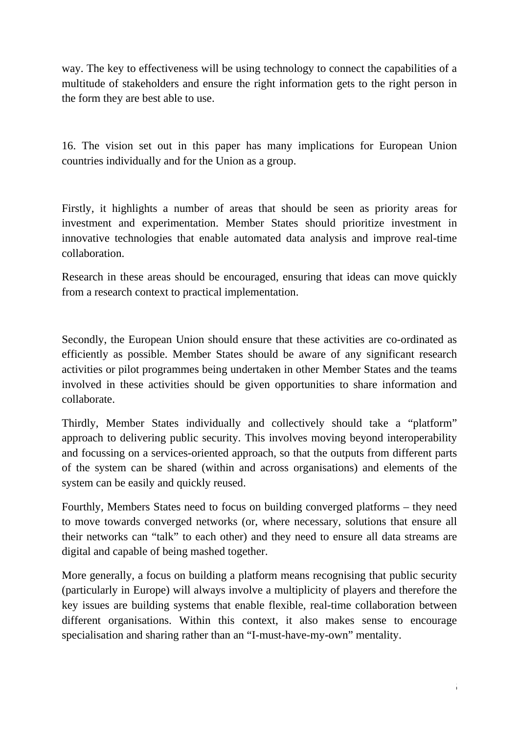way. The key to effectiveness will be using technology to connect the capabilities of a multitude of stakeholders and ensure the right information gets to the right person in the form they are best able to use.

16. The vision set out in this paper has many implications for European Union countries individually and for the Union as a group.

Firstly, it highlights a number of areas that should be seen as priority areas for investment and experimentation. Member States should prioritize investment in innovative technologies that enable automated data analysis and improve real-time collaboration.

Research in these areas should be encouraged, ensuring that ideas can move quickly from a research context to practical implementation.

Secondly, the European Union should ensure that these activities are co-ordinated as efficiently as possible. Member States should be aware of any significant research activities or pilot programmes being undertaken in other Member States and the teams involved in these activities should be given opportunities to share information and collaborate.

Thirdly, Member States individually and collectively should take a "platform" approach to delivering public security. This involves moving beyond interoperability and focussing on a services-oriented approach, so that the outputs from different parts of the system can be shared (within and across organisations) and elements of the system can be easily and quickly reused.

Fourthly, Members States need to focus on building converged platforms – they need to move towards converged networks (or, where necessary, solutions that ensure all their networks can "talk" to each other) and they need to ensure all data streams are digital and capable of being mashed together.

More generally, a focus on building a platform means recognising that public security (particularly in Europe) will always involve a multiplicity of players and therefore the key issues are building systems that enable flexible, real-time collaboration between different organisations. Within this context, it also makes sense to encourage specialisation and sharing rather than an "I-must-have-my-own" mentality.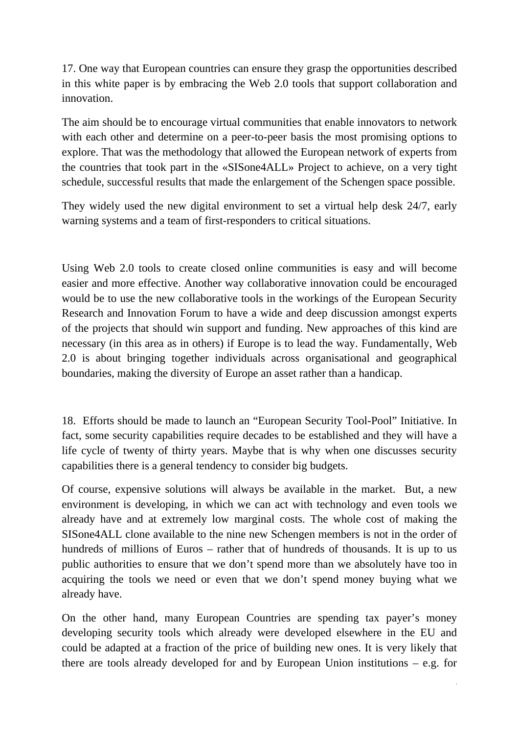17. One way that European countries can ensure they grasp the opportunities described in this white paper is by embracing the Web 2.0 tools that support collaboration and innovation.

The aim should be to encourage virtual communities that enable innovators to network with each other and determine on a peer-to-peer basis the most promising options to explore. That was the methodology that allowed the European network of experts from the countries that took part in the «SISone4ALL» Project to achieve, on a very tight schedule, successful results that made the enlargement of the Schengen space possible.

They widely used the new digital environment to set a virtual help desk 24/7, early warning systems and a team of first-responders to critical situations.

Using Web 2.0 tools to create closed online communities is easy and will become easier and more effective. Another way collaborative innovation could be encouraged would be to use the new collaborative tools in the workings of the European Security Research and Innovation Forum to have a wide and deep discussion amongst experts of the projects that should win support and funding. New approaches of this kind are necessary (in this area as in others) if Europe is to lead the way. Fundamentally, Web 2.0 is about bringing together individuals across organisational and geographical boundaries, making the diversity of Europe an asset rather than a handicap.

18. Efforts should be made to launch an "European Security Tool-Pool" Initiative. In fact, some security capabilities require decades to be established and they will have a life cycle of twenty of thirty years. Maybe that is why when one discusses security capabilities there is a general tendency to consider big budgets.

Of course, expensive solutions will always be available in the market. But, a new environment is developing, in which we can act with technology and even tools we already have and at extremely low marginal costs. The whole cost of making the SISone4ALL clone available to the nine new Schengen members is not in the order of hundreds of millions of Euros – rather that of hundreds of thousands. It is up to us public authorities to ensure that we don't spend more than we absolutely have too in acquiring the tools we need or even that we don't spend money buying what we already have.

On the other hand, many European Countries are spending tax payer's money developing security tools which already were developed elsewhere in the EU and could be adapted at a fraction of the price of building new ones. It is very likely that there are tools already developed for and by European Union institutions – e.g. for